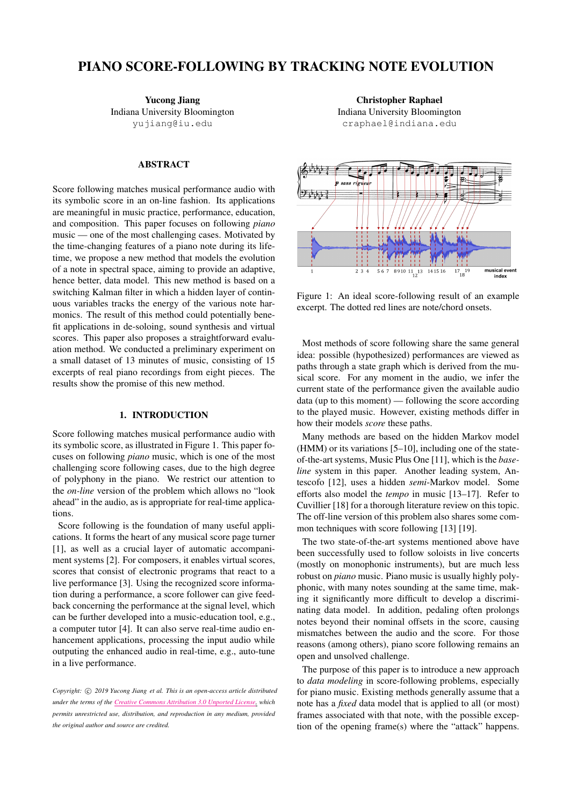# PIANO SCORE-FOLLOWING BY TRACKING NOTE EVOLUTION

Yucong Jiang Indiana University Bloomington [yujiang@iu.edu](mailto:yujiang@iu.edu)

# ABSTRACT

Score following matches musical performance audio with its symbolic score in an on-line fashion. Its applications are meaningful in music practice, performance, education, and composition. This paper focuses on following *piano* music — one of the most challenging cases. Motivated by the time-changing features of a piano note during its lifetime, we propose a new method that models the evolution of a note in spectral space, aiming to provide an adaptive, hence better, data model. This new method is based on a switching Kalman filter in which a hidden layer of continuous variables tracks the energy of the various note harmonics. The result of this method could potentially benefit applications in de-soloing, sound synthesis and virtual scores. This paper also proposes a straightforward evaluation method. We conducted a preliminary experiment on a small dataset of 13 minutes of music, consisting of 15 excerpts of real piano recordings from eight pieces. The results show the promise of this new method.

# 1. INTRODUCTION

Score following matches musical performance audio with its symbolic score, as illustrated in Figure [1.](#page-0-0) This paper focuses on following *piano* music, which is one of the most challenging score following cases, due to the high degree of polyphony in the piano. We restrict our attention to the *on-line* version of the problem which allows no "look ahead" in the audio, as is appropriate for real-time applications.

Score following is the foundation of many useful applications. It forms the heart of any musical score page turner [\[1\]](#page-5-0), as well as a crucial layer of automatic accompaniment systems [\[2\]](#page-5-1). For composers, it enables virtual scores, scores that consist of electronic programs that react to a live performance [\[3\]](#page-5-2). Using the recognized score information during a performance, a score follower can give feedback concerning the performance at the signal level, which can be further developed into a music-education tool, e.g., a computer tutor [\[4\]](#page-5-3). It can also serve real-time audio enhancement applications, processing the input audio while outputing the enhanced audio in real-time, e.g., auto-tune in a live performance.

*Copyright:*  $\circ$  *2019 Yucong Jiang et al. This is an open-access article distributed under the terms of the Creative Commons [Attribution](http://creativecommons.org/licenses/by/3.0/) 3.0 Unported License, which permits unrestricted use, distribution, and reproduction in any medium, provided the original author and source are credited.*

Christopher Raphael Indiana University Bloomington [craphael@indiana.edu](mailto:craphael@indiana.edu)

<span id="page-0-0"></span>

Figure 1: An ideal score-following result of an example excerpt. The dotted red lines are note/chord onsets.

Most methods of score following share the same general idea: possible (hypothesized) performances are viewed as paths through a state graph which is derived from the musical score. For any moment in the audio, we infer the current state of the performance given the available audio data (up to this moment) — following the score according to the played music. However, existing methods differ in how their models *score* these paths.

Many methods are based on the hidden Markov model (HMM) or its variations [\[5](#page-5-4)[–10\]](#page-5-5), including one of the stateof-the-art systems, Music Plus One [\[11\]](#page-5-6), which is the *baseline* system in this paper. Another leading system, Antescofo [\[12\]](#page-5-7), uses a hidden *semi*-Markov model. Some efforts also model the *tempo* in music [\[13](#page-5-8)[–17\]](#page-6-0). Refer to Cuvillier [\[18\]](#page-6-1) for a thorough literature review on this topic. The off-line version of this problem also shares some common techniques with score following [\[13\]](#page-5-8) [\[19\]](#page-6-2).

The two state-of-the-art systems mentioned above have been successfully used to follow soloists in live concerts (mostly on monophonic instruments), but are much less robust on *piano* music. Piano music is usually highly polyphonic, with many notes sounding at the same time, making it significantly more difficult to develop a discriminating data model. In addition, pedaling often prolongs notes beyond their nominal offsets in the score, causing mismatches between the audio and the score. For those reasons (among others), piano score following remains an open and unsolved challenge.

The purpose of this paper is to introduce a new approach to *data modeling* in score-following problems, especially for piano music. Existing methods generally assume that a note has a *fixed* data model that is applied to all (or most) frames associated with that note, with the possible exception of the opening frame(s) where the "attack" happens.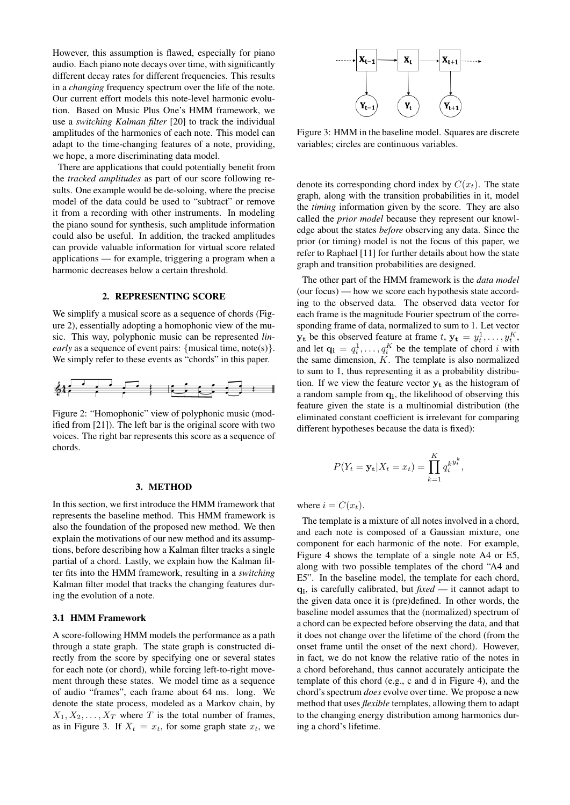However, this assumption is flawed, especially for piano audio. Each piano note decays over time, with significantly different decay rates for different frequencies. This results in a *changing* frequency spectrum over the life of the note. Our current effort models this note-level harmonic evolution. Based on Music Plus One's HMM framework, we use a *switching Kalman filter* [\[20\]](#page-6-3) to track the individual amplitudes of the harmonics of each note. This model can adapt to the time-changing features of a note, providing, we hope, a more discriminating data model.

There are applications that could potentially benefit from the *tracked amplitudes* as part of our score following results. One example would be de-soloing, where the precise model of the data could be used to "subtract" or remove it from a recording with other instruments. In modeling the piano sound for synthesis, such amplitude information could also be useful. In addition, the tracked amplitudes can provide valuable information for virtual score related applications — for example, triggering a program when a harmonic decreases below a certain threshold.

#### 2. REPRESENTING SCORE

We simplify a musical score as a sequence of chords (Figure [2\)](#page-1-0), essentially adopting a homophonic view of the music. This way, polyphonic music can be represented *linearly* as a sequence of event pairs: {musical time, note(s)}. We simply refer to these events as "chords" in this paper.

<span id="page-1-0"></span>

Figure 2: "Homophonic" view of polyphonic music (modified from [\[21\]](#page-6-4)). The left bar is the original score with two voices. The right bar represents this score as a sequence of chords.

#### 3. METHOD

In this section, we first introduce the HMM framework that represents the baseline method. This HMM framework is also the foundation of the proposed new method. We then explain the motivations of our new method and its assumptions, before describing how a Kalman filter tracks a single partial of a chord. Lastly, we explain how the Kalman filter fits into the HMM framework, resulting in a *switching* Kalman filter model that tracks the changing features during the evolution of a note.

#### 3.1 HMM Framework

A score-following HMM models the performance as a path through a state graph. The state graph is constructed directly from the score by specifying one or several states for each note (or chord), while forcing left-to-right movement through these states. We model time as a sequence of audio "frames", each frame about 64 ms. long. We denote the state process, modeled as a Markov chain, by  $X_1, X_2, \ldots, X_T$  where T is the total number of frames, as in Figure [3.](#page-1-1) If  $X_t = x_t$ , for some graph state  $x_t$ , we

<span id="page-1-1"></span>

Figure 3: HMM in the baseline model. Squares are discrete variables; circles are continuous variables.

denote its corresponding chord index by  $C(x_t)$ . The state graph, along with the transition probabilities in it, model the *timing* information given by the score. They are also called the *prior model* because they represent our knowledge about the states *before* observing any data. Since the prior (or timing) model is not the focus of this paper, we refer to Raphael [\[11\]](#page-5-6) for further details about how the state graph and transition probabilities are designed.

The other part of the HMM framework is the *data model* (our focus) — how we score each hypothesis state according to the observed data. The observed data vector for each frame is the magnitude Fourier spectrum of the corresponding frame of data, normalized to sum to 1. Let vector  $\mathbf{y_t}$  be this observed feature at frame  $t$ ,  $\mathbf{y_t} = y_t^1, \dots, y_t^K$ , and let  $\mathbf{q_i} = q_i^1, \dots, q_i^K$  be the template of chord *i* with the same dimension,  $K$ . The template is also normalized to sum to 1, thus representing it as a probability distribution. If we view the feature vector  $y_t$  as the histogram of a random sample from  $q_i$ , the likelihood of observing this feature given the state is a multinomial distribution (the eliminated constant coefficient is irrelevant for comparing different hypotheses because the data is fixed):

$$
P(Y_t = \mathbf{y_t} | X_t = x_t) = \prod_{k=1}^K q_i^{k y_t^k},
$$

where  $i = C(x_t)$ .

The template is a mixture of all notes involved in a chord, and each note is composed of a Gaussian mixture, one component for each harmonic of the note. For example, Figure [4](#page-2-0) shows the template of a single note A4 or E5, along with two possible templates of the chord "A4 and E5". In the baseline model, the template for each chord, qi , is carefully calibrated, but *fixed* — it cannot adapt to the given data once it is (pre)defined. In other words, the baseline model assumes that the (normalized) spectrum of a chord can be expected before observing the data, and that it does not change over the lifetime of the chord (from the onset frame until the onset of the next chord). However, in fact, we do not know the relative ratio of the notes in a chord beforehand, thus cannot accurately anticipate the template of this chord (e.g., [c](#page-2-0) and [d](#page-2-0) in Figure [4\)](#page-2-0), and the chord's spectrum *does* evolve over time. We propose a new method that uses *flexible* templates, allowing them to adapt to the changing energy distribution among harmonics during a chord's lifetime.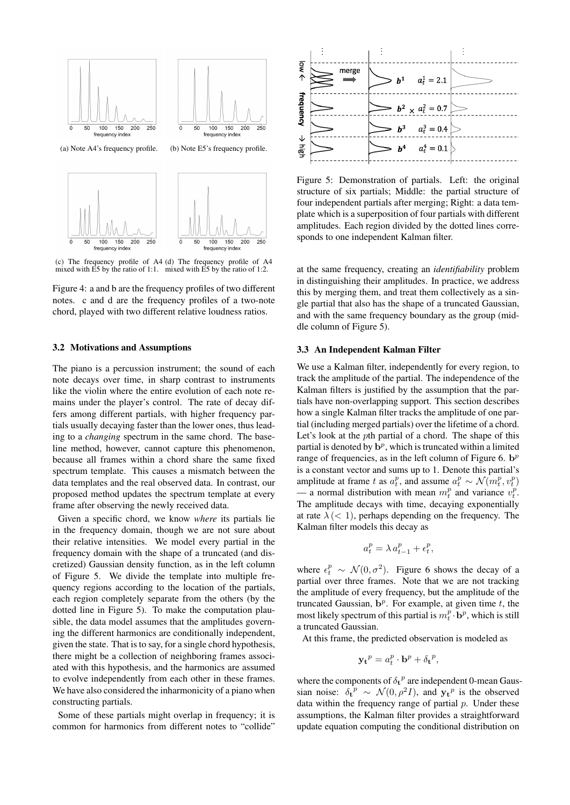<span id="page-2-0"></span>

(c) The frequency profile of A4 (d) The frequency profile of A4 mixed with E5 by the ratio of 1:1. mixed with E5 by the ratio of 1:2.

Figure 4: [a](#page-2-0) and [b](#page-2-0) are the frequency profiles of two different notes. [c](#page-2-0) and [d](#page-2-0) are the frequency profiles of a two-note chord, played with two different relative loudness ratios.

#### 3.2 Motivations and Assumptions

The piano is a percussion instrument; the sound of each note decays over time, in sharp contrast to instruments like the violin where the entire evolution of each note remains under the player's control. The rate of decay differs among different partials, with higher frequency partials usually decaying faster than the lower ones, thus leading to a *changing* spectrum in the same chord. The baseline method, however, cannot capture this phenomenon, because all frames within a chord share the same fixed spectrum template. This causes a mismatch between the data templates and the real observed data. In contrast, our proposed method updates the spectrum template at every frame after observing the newly received data.

Given a specific chord, we know *where* its partials lie in the frequency domain, though we are not sure about their relative intensities. We model every partial in the frequency domain with the shape of a truncated (and discretized) Gaussian density function, as in the left column of Figure [5.](#page-2-1) We divide the template into multiple frequency regions according to the location of the partials, each region completely separate from the others (by the dotted line in Figure [5\)](#page-2-1). To make the computation plausible, the data model assumes that the amplitudes governing the different harmonics are conditionally independent, given the state. That is to say, for a single chord hypothesis, there might be a collection of neighboring frames associated with this hypothesis, and the harmonics are assumed to evolve independently from each other in these frames. We have also considered the inharmonicity of a piano when constructing partials.

Some of these partials might overlap in frequency; it is common for harmonics from different notes to "collide"

<span id="page-2-1"></span>

Figure 5: Demonstration of partials. Left: the original structure of six partials; Middle: the partial structure of four independent partials after merging; Right: a data template which is a superposition of four partials with different amplitudes. Each region divided by the dotted lines corresponds to one independent Kalman filter.

at the same frequency, creating an *identifiability* problem in distinguishing their amplitudes. In practice, we address this by merging them, and treat them collectively as a single partial that also has the shape of a truncated Gaussian, and with the same frequency boundary as the group (middle column of Figure [5\)](#page-2-1).

# <span id="page-2-2"></span>3.3 An Independent Kalman Filter

We use a Kalman filter, independently for every region, to track the amplitude of the partial. The independence of the Kalman filters is justified by the assumption that the partials have non-overlapping support. This section describes how a single Kalman filter tracks the amplitude of one partial (including merged partials) over the lifetime of a chord. Let's look at the pth partial of a chord. The shape of this partial is denoted by  $\mathbf{b}^p$ , which is truncated within a limited range of frequencies, as in the left column of Figure [6.](#page-3-0)  $\mathbf{b}^p$ is a constant vector and sums up to 1. Denote this partial's amplitude at frame t as  $a_t^p$ , and assume  $a_t^p \sim \mathcal{N}(m_t^p, v_t^p)$ — a normal distribution with mean  $m_t^p$  and variance  $v_t^p$ . The amplitude decays with time, decaying exponentially at rate  $\lambda$  (< 1), perhaps depending on the frequency. The Kalman filter models this decay as

$$
a_t^p = \lambda a_{t-1}^p + \epsilon_t^p,
$$

where  $\epsilon_t^p \sim \mathcal{N}(0, \sigma^2)$ . Figure [6](#page-3-0) shows the decay of a partial over three frames. Note that we are not tracking the amplitude of every frequency, but the amplitude of the truncated Gaussian,  $\mathbf{b}^p$ . For example, at given time t, the most likely spectrum of this partial is  $m_t^p \cdot \mathbf{b}^p$ , which is still a truncated Gaussian.

At this frame, the predicted observation is modeled as

$$
\mathbf{y_t}^p = a_t^p \cdot \mathbf{b}^p + \delta_{\mathbf{t}}^p,
$$

where the components of  $\delta_t^p$  are independent 0-mean Gaussian noise:  $\delta_t^{\overline{p}} \sim \mathcal{N}(0, \rho^2 I)$ , and  $\mathbf{y_t}^p$  is the observed data within the frequency range of partial  $p$ . Under these assumptions, the Kalman filter provides a straightforward update equation computing the conditional distribution on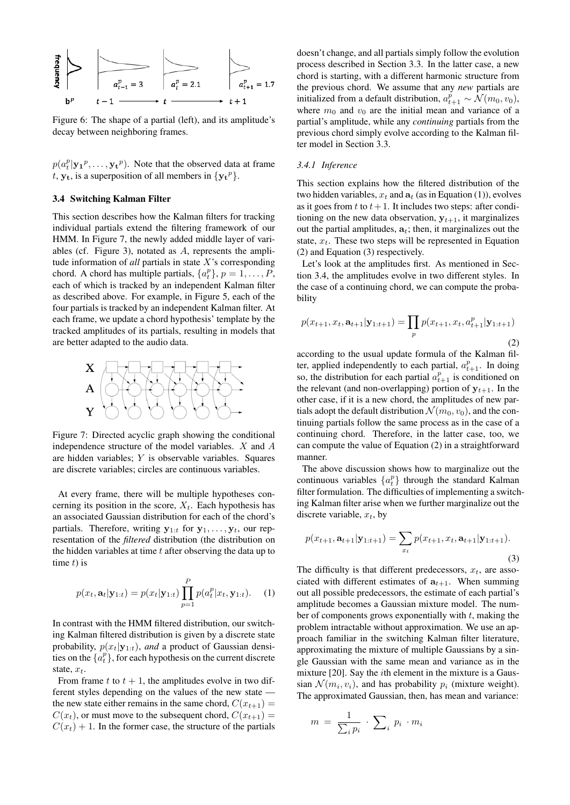<span id="page-3-0"></span>

Figure 6: The shape of a partial (left), and its amplitude's decay between neighboring frames.

 $p(a_t^p | y_1^p, \ldots, y_t^p)$ . Note that the observed data at frame t,  $y_t$ , is a superposition of all members in  $\{y_t^p\}$ .

### <span id="page-3-5"></span>3.4 Switching Kalman Filter

This section describes how the Kalman filters for tracking individual partials extend the filtering framework of our HMM. In Figure [7,](#page-3-1) the newly added middle layer of variables (cf. Figure [3\)](#page-1-1), notated as A, represents the amplitude information of *all* partials in state X's corresponding chord. A chord has multiple partials,  $\{a_t^p\}$ ,  $p = 1, \ldots, P$ , each of which is tracked by an independent Kalman filter as described above. For example, in Figure [5,](#page-2-1) each of the four partials is tracked by an independent Kalman filter. At each frame, we update a chord hypothesis' template by the tracked amplitudes of its partials, resulting in models that are better adapted to the audio data.

<span id="page-3-1"></span>

Figure 7: Directed acyclic graph showing the conditional independence structure of the model variables. X and A are hidden variables; Y is observable variables. Squares are discrete variables; circles are continuous variables.

At every frame, there will be multiple hypotheses concerning its position in the score,  $X_t$ . Each hypothesis has an associated Gaussian distribution for each of the chord's partials. Therefore, writing  $y_{1:t}$  for  $y_1, \ldots, y_t$ , our representation of the *filtered* distribution (the distribution on the hidden variables at time  $t$  after observing the data up to time  $t$ ) is

<span id="page-3-2"></span>
$$
p(x_t, \mathbf{a}_t | \mathbf{y}_{1:t}) = p(x_t | \mathbf{y}_{1:t}) \prod_{p=1}^P p(a_t^p | x_t, \mathbf{y}_{1:t}).
$$
 (1)

In contrast with the HMM filtered distribution, our switching Kalman filtered distribution is given by a discrete state probability,  $p(x_t|\mathbf{y}_{1:t})$ , *and* a product of Gaussian densities on the  $\{a_t^p\}$ , for each hypothesis on the current discrete state,  $x_t$ .

From frame t to  $t + 1$ , the amplitudes evolve in two different styles depending on the values of the new state the new state either remains in the same chord,  $C(x_{t+1}) =$  $C(x_t)$ , or must move to the subsequent chord,  $C(x_{t+1}) =$  $C(x_t) + 1$ . In the former case, the structure of the partials doesn't change, and all partials simply follow the evolution process described in Section [3.3.](#page-2-2) In the latter case, a new chord is starting, with a different harmonic structure from the previous chord. We assume that any *new* partials are initialized from a default distribution,  $a_{t+1}^p \sim \mathcal{N}(m_0, v_0)$ , where  $m_0$  and  $v_0$  are the initial mean and variance of a partial's amplitude, while any *continuing* partials from the previous chord simply evolve according to the Kalman filter model in Section [3.3.](#page-2-2)

# <span id="page-3-6"></span>*3.4.1 Inference*

This section explains how the filtered distribution of the two hidden variables,  $x_t$  and  $a_t$  (as in Equation [\(1\)](#page-3-2)), evolves as it goes from t to  $t+1$ . It includes two steps: after conditioning on the new data observation,  $y_{t+1}$ , it marginalizes out the partial amplitudes,  $a_t$ ; then, it marginalizes out the state,  $x_t$ . These two steps will be represented in Equation [\(2\)](#page-3-3) and Equation [\(3\)](#page-3-4) respectively.

Let's look at the amplitudes first. As mentioned in Section [3.4,](#page-3-5) the amplitudes evolve in two different styles. In the case of a continuing chord, we can compute the probability

<span id="page-3-3"></span>
$$
p(x_{t+1}, x_t, \mathbf{a}_{t+1} | \mathbf{y}_{1:t+1}) = \prod_p p(x_{t+1}, x_t, a_{t+1}^p | \mathbf{y}_{1:t+1})
$$
\n(2)

according to the usual update formula of the Kalman filter, applied independently to each partial,  $a_{t+1}^p$ . In doing so, the distribution for each partial  $a_{t+1}^p$  is conditioned on the relevant (and non-overlapping) portion of  $y_{t+1}$ . In the other case, if it is a new chord, the amplitudes of new partials adopt the default distribution  $\mathcal{N}(m_0, v_0)$ , and the continuing partials follow the same process as in the case of a continuing chord. Therefore, in the latter case, too, we can compute the value of Equation [\(2\)](#page-3-3) in a straightforward manner.

The above discussion shows how to marginalize out the continuous variables  $\{a_t^p\}$  through the standard Kalman filter formulation. The difficulties of implementing a switching Kalman filter arise when we further marginalize out the discrete variable,  $x_t$ , by

<span id="page-3-4"></span>
$$
p(x_{t+1}, \mathbf{a}_{t+1} | \mathbf{y}_{1:t+1}) = \sum_{x_t} p(x_{t+1}, x_t, \mathbf{a}_{t+1} | \mathbf{y}_{1:t+1}).
$$
\n(3)

The difficulty is that different predecessors,  $x_t$ , are associated with different estimates of  $a_{t+1}$ . When summing out all possible predecessors, the estimate of each partial's amplitude becomes a Gaussian mixture model. The number of components grows exponentially with  $t$ , making the problem intractable without approximation. We use an approach familiar in the switching Kalman filter literature, approximating the mixture of multiple Gaussians by a single Gaussian with the same mean and variance as in the mixture [\[20\]](#page-6-3). Say the ith element in the mixture is a Gaussian  $\mathcal{N}(m_i, v_i)$ , and has probability  $p_i$  (mixture weight). The approximated Gaussian, then, has mean and variance:

$$
m = \frac{1}{\sum_i p_i} \cdot \sum_i p_i \cdot m_i
$$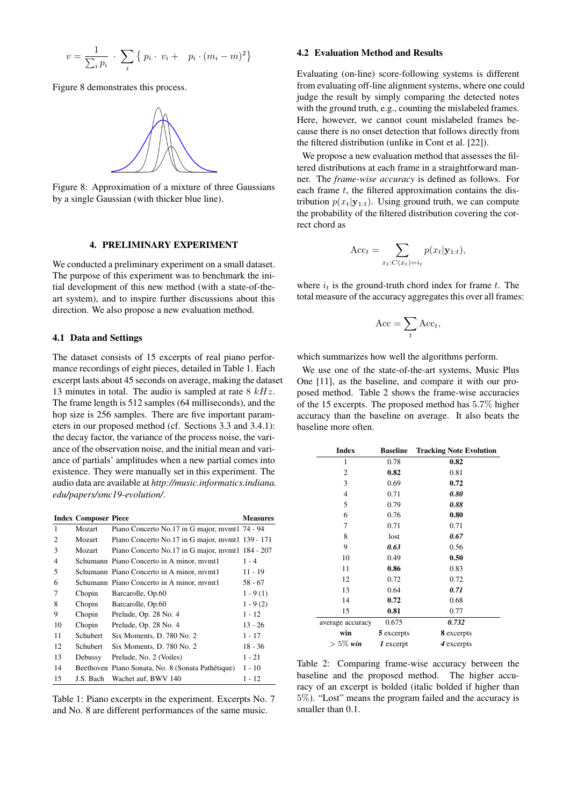$$
v = \frac{1}{\sum_{i} p_i} \cdot \sum_{i} \{ p_i \cdot v_i + p_i \cdot (m_i - m)^2 \}
$$

<span id="page-4-0"></span>Figure [8](#page-4-0) demonstrates this process.



Figure 8: Approximation of a mixture of three Gaussians by a single Gaussian (with thicker blue line).

# 4. PRELIMINARY EXPERIMENT

We conducted a preliminary experiment on a small dataset. The purpose of this experiment was to benchmark the initial development of this new method (with a state-of-theart system), and to inspire further discussions about this direction. We also propose a new evaluation method.

# <span id="page-4-3"></span>4.1 Data and Settings

The dataset consists of 15 excerpts of real piano performance recordings of eight pieces, detailed in Table [1.](#page-4-1) Each excerpt lasts about 45 seconds on average, making the dataset 13 minutes in total. The audio is sampled at rate  $8 kHz$ . The frame length is 512 samples (64 milliseconds), and the hop size is 256 samples. There are five important parameters in our proposed method (cf. Sections [3.3](#page-2-2) and [3.4.1\)](#page-3-6): the decay factor, the variance of the process noise, the variance of the observation noise, and the initial mean and variance of partials' amplitudes when a new partial comes into existence. They were manually set in this experiment. The audio data are available at *[http://music.informatics.indiana.](http://music.informatics.indiana.edu/papers/smc19-evolution/) [edu/papers/smc19-evolution/](http://music.informatics.indiana.edu/papers/smc19-evolution/)*.

<span id="page-4-1"></span>

|                             | <b>Index Composer Piece</b> |                                                   | <b>Measures</b> |
|-----------------------------|-----------------------------|---------------------------------------------------|-----------------|
| 1                           | Mozart                      | Piano Concerto No.17 in G major, mymt1 74 - 94    |                 |
| $\mathcal{D}_{\mathcal{L}}$ | Mozart                      | Piano Concerto No.17 in G major, mymt1 139 - 171  |                 |
| 3                           | Mozart                      | Piano Concerto No.17 in G major, mymt1 184 - 207  |                 |
| $\overline{4}$              |                             | Schumann Piano Concerto in A minor, mymt1         | $1 - 4$         |
| 5                           |                             | Schumann Piano Concerto in A minor, mymt1         | $11 - 19$       |
| 6                           |                             | Schumann Piano Concerto in A minor, mymt1         | $58 - 67$       |
| 7                           | Chopin                      | Barcarolle, Op.60                                 | $1 - 9(1)$      |
| 8                           | Chopin                      | Barcarolle, Op.60                                 | $1 - 9(2)$      |
| 9                           | Chopin                      | Prelude, Op. 28 No. 4                             | $1 - 12$        |
| 10                          | Chopin                      | Prelude, Op. 28 No. 4                             | $13 - 26$       |
| 11                          | Schubert.                   | Six Moments, D. 780 No. 2                         | $1 - 17$        |
| 12                          | Schubert                    | Six Moments, D. 780 No. 2                         | $18 - 36$       |
| 13                          | Debussy                     | Prelude, No. 2 (Voiles)                           | $1 - 21$        |
| 14                          |                             | Beethoven Piano Sonata, No. 8 (Sonata Pathétique) | $1 - 10$        |
| 15                          | J.S. Bach                   | Wachet auf, BWV 140                               | $1 - 12$        |

Table 1: Piano excerpts in the experiment. Excerpts No. 7 and No. 8 are different performances of the same music.

#### 4.2 Evaluation Method and Results

Evaluating (on-line) score-following systems is different from evaluating off-line alignment systems, where one could judge the result by simply comparing the detected notes with the ground truth, e.g., counting the mislabeled frames. Here, however, we cannot count mislabeled frames because there is no onset detection that follows directly from the filtered distribution (unlike in Cont et al. [\[22\]](#page-6-5)).

We propose a new evaluation method that assesses the filtered distributions at each frame in a straightforward manner. The *frame-wise accuracy* is defined as follows. For each frame  $t$ , the filtered approximation contains the distribution  $p(x_t|\mathbf{y}_{1:t})$ . Using ground truth, we can compute the probability of the filtered distribution covering the correct chord as

$$
Acct = \sum_{x_t:C(x_t)=i_t} p(x_t|\mathbf{y}_{1:t}),
$$

where  $i_t$  is the ground-truth chord index for frame t. The total measure of the accuracy aggregates this over all frames:

$$
Acc = \sum_{t} Acc_t,
$$

which summarizes how well the algorithms perform.

We use one of the state-of-the-art systems, Music Plus One [\[11\]](#page-5-6), as the baseline, and compare it with our proposed method. Table [2](#page-4-2) shows the frame-wise accuracies of the 15 excerpts. The proposed method has 5.7% higher accuracy than the baseline on average. It also beats the baseline more often.

<span id="page-4-2"></span>

| <b>Index</b>     | <b>Baseline</b>      | <b>Tracking Note Evolution</b> |
|------------------|----------------------|--------------------------------|
| 1                | 0.78                 | 0.82                           |
| 2                | 0.82                 | 0.81                           |
| 3                | 0.69                 | 0.72                           |
| $\overline{4}$   | 0.71                 | 0.80                           |
| 5                | 0.79                 | 0.88                           |
| 6                | 0.76                 | 0.80                           |
| 7                | 0.71                 | 0.71                           |
| 8                | lost                 | 0.67                           |
| 9                | 0.63                 | 0.56                           |
| 10               | 0.49                 | 0.50                           |
| 11               | 0.86                 | 0.83                           |
| 12               | 0.72                 | 0.72                           |
| 13               | 0.64                 | 0.71                           |
| 14               | 0.72                 | 0.68                           |
| 15               | 0.81                 | 0.77                           |
| average accuracy | 0.675                | 0.732                          |
| win              | 5 excerpts           | 8 excerpts                     |
| $> 5\%$ win      | $\mathbf{I}$ excerpt | 4 excerpts                     |

Table 2: Comparing frame-wise accuracy between the baseline and the proposed method. The higher accuracy of an excerpt is bolded (italic bolded if higher than 5%). "Lost" means the program failed and the accuracy is smaller than 0.1.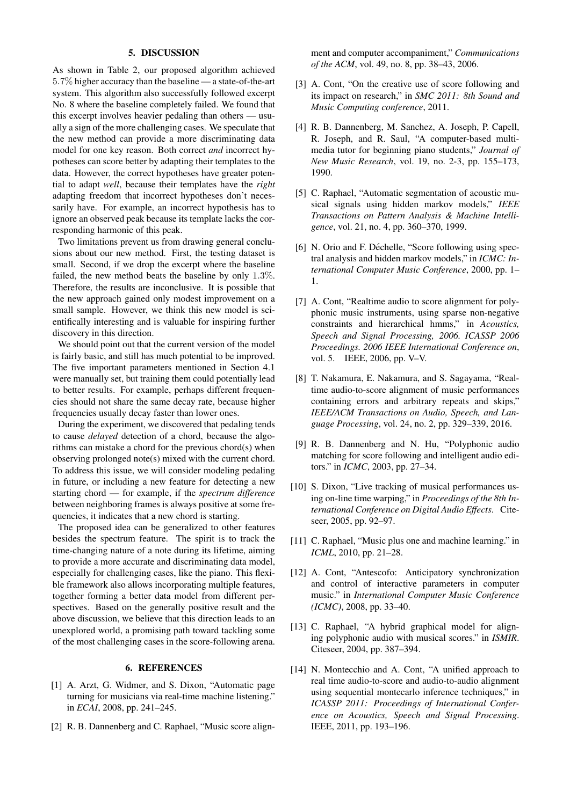#### 5. DISCUSSION

As shown in Table [2,](#page-4-2) our proposed algorithm achieved 5.7% higher accuracy than the baseline — a state-of-the-art system. This algorithm also successfully followed excerpt No. 8 where the baseline completely failed. We found that this excerpt involves heavier pedaling than others — usually a sign of the more challenging cases. We speculate that the new method can provide a more discriminating data model for one key reason. Both correct *and* incorrect hypotheses can score better by adapting their templates to the data. However, the correct hypotheses have greater potential to adapt *well*, because their templates have the *right* adapting freedom that incorrect hypotheses don't necessarily have. For example, an incorrect hypothesis has to ignore an observed peak because its template lacks the corresponding harmonic of this peak.

Two limitations prevent us from drawing general conclusions about our new method. First, the testing dataset is small. Second, if we drop the excerpt where the baseline failed, the new method beats the baseline by only 1.3%. Therefore, the results are inconclusive. It is possible that the new approach gained only modest improvement on a small sample. However, we think this new model is scientifically interesting and is valuable for inspiring further discovery in this direction.

We should point out that the current version of the model is fairly basic, and still has much potential to be improved. The five important parameters mentioned in Section [4.1](#page-4-3) were manually set, but training them could potentially lead to better results. For example, perhaps different frequencies should not share the same decay rate, because higher frequencies usually decay faster than lower ones.

During the experiment, we discovered that pedaling tends to cause *delayed* detection of a chord, because the algorithms can mistake a chord for the previous chord(s) when observing prolonged note(s) mixed with the current chord. To address this issue, we will consider modeling pedaling in future, or including a new feature for detecting a new starting chord — for example, if the *spectrum difference* between neighboring frames is always positive at some frequencies, it indicates that a new chord is starting.

The proposed idea can be generalized to other features besides the spectrum feature. The spirit is to track the time-changing nature of a note during its lifetime, aiming to provide a more accurate and discriminating data model, especially for challenging cases, like the piano. This flexible framework also allows incorporating multiple features, together forming a better data model from different perspectives. Based on the generally positive result and the above discussion, we believe that this direction leads to an unexplored world, a promising path toward tackling some of the most challenging cases in the score-following arena.

#### 6. REFERENCES

- <span id="page-5-0"></span>[1] A. Arzt, G. Widmer, and S. Dixon, "Automatic page turning for musicians via real-time machine listening." in *ECAI*, 2008, pp. 241–245.
- <span id="page-5-1"></span>[2] R. B. Dannenberg and C. Raphael, "Music score align-

ment and computer accompaniment," *Communications of the ACM*, vol. 49, no. 8, pp. 38–43, 2006.

- <span id="page-5-2"></span>[3] A. Cont, "On the creative use of score following and its impact on research," in *SMC 2011: 8th Sound and Music Computing conference*, 2011.
- <span id="page-5-3"></span>[4] R. B. Dannenberg, M. Sanchez, A. Joseph, P. Capell, R. Joseph, and R. Saul, "A computer-based multimedia tutor for beginning piano students," *Journal of New Music Research*, vol. 19, no. 2-3, pp. 155–173, 1990.
- <span id="page-5-4"></span>[5] C. Raphael, "Automatic segmentation of acoustic musical signals using hidden markov models," *IEEE Transactions on Pattern Analysis & Machine Intelligence*, vol. 21, no. 4, pp. 360–370, 1999.
- [6] N. Orio and F. Déchelle, "Score following using spectral analysis and hidden markov models," in *ICMC: International Computer Music Conference*, 2000, pp. 1– 1.
- [7] A. Cont, "Realtime audio to score alignment for polyphonic music instruments, using sparse non-negative constraints and hierarchical hmms," in *Acoustics, Speech and Signal Processing, 2006. ICASSP 2006 Proceedings. 2006 IEEE International Conference on*, vol. 5. IEEE, 2006, pp. V–V.
- [8] T. Nakamura, E. Nakamura, and S. Sagayama, "Realtime audio-to-score alignment of music performances containing errors and arbitrary repeats and skips," *IEEE/ACM Transactions on Audio, Speech, and Language Processing*, vol. 24, no. 2, pp. 329–339, 2016.
- [9] R. B. Dannenberg and N. Hu, "Polyphonic audio matching for score following and intelligent audio editors." in *ICMC*, 2003, pp. 27–34.
- <span id="page-5-5"></span>[10] S. Dixon, "Live tracking of musical performances using on-line time warping," in *Proceedings of the 8th International Conference on Digital Audio Effects*. Citeseer, 2005, pp. 92–97.
- <span id="page-5-6"></span>[11] C. Raphael, "Music plus one and machine learning." in *ICML*, 2010, pp. 21–28.
- <span id="page-5-7"></span>[12] A. Cont, "Antescofo: Anticipatory synchronization and control of interactive parameters in computer music." in *International Computer Music Conference (ICMC)*, 2008, pp. 33–40.
- <span id="page-5-8"></span>[13] C. Raphael, "A hybrid graphical model for aligning polyphonic audio with musical scores." in *ISMIR*. Citeseer, 2004, pp. 387–394.
- [14] N. Montecchio and A. Cont, "A unified approach to real time audio-to-score and audio-to-audio alignment using sequential montecarlo inference techniques," in *ICASSP 2011: Proceedings of International Conference on Acoustics, Speech and Signal Processing*. IEEE, 2011, pp. 193–196.